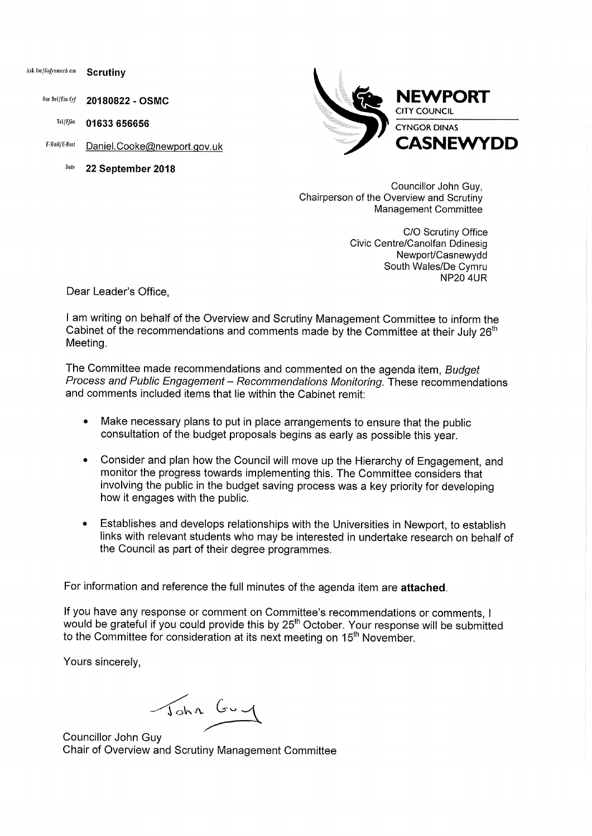Ask for/*Gofynnwch* am **Scrutiny** 

Our ReflEin Cif **20180822** - **OSMC** 

Tel/Ffbn **01633 656656** 

E-Mail/E-Bost Daniel. Cooke@newport.gov.uk

(late **22 September 2018** 



Councillor John Guy, Chairperson of the Overview and Scrutiny Management Committee

> C/O Scrutiny Office Civic Centre/Canolfan Ddinesig Newport/Casnewydd South Wales/De Cymru  $NP20$   $4UR$

Dear Leader's Office,

I am writing on behalf of the Overview and Scrutiny Management Committee to inform the Cabinet of the recommendations and comments made by the Committee at their July  $26<sup>th</sup>$ Meeting.

The Committee made recommendations and commented on the agenda item, Budget Process and Public Engagement - Recommendations Monitoring. These recommendations and comments included items that lie within the Cabinet remit:

- Make necessary plans to put in place arrangements to ensure that the public consultation of the budget proposals begins as early as possible this year.
- Consider and plan how the Council will move up the Hierarchy of Engagement, and monitor the progress towards implementing this. The Committee considers that involving the public in the budget saving process was a key priority for developing how it engages with the public.
- Establishes and develops relationships with the Universities in Newport, to establish links with relevant students who may be interested in undertake research on behalf of the Council as part of their degree programmes.

For information and reference the full minutes of the agenda item are **attached.** 

If you have any response or comment on Committee's recommendations or comments, I would be grateful if you could provide this by 25<sup>th</sup> October. Your response will be submitted to the Committee for consideration at its next meeting on 15<sup>th</sup> November.

Yours sincerely,

John Guy

Councillor John Guy Chair of Overview and Scrutiny Management Committee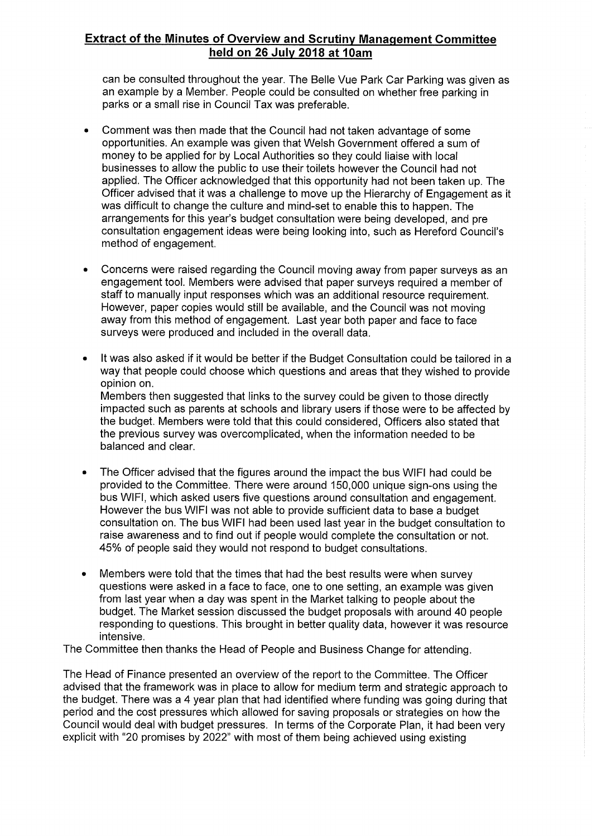## **Extract of the Minutes of Overview and Scrutiny Management Committee held on 26 July 2018 at 10am**

can be consulted throughout the year. The Belle Vue Park Car Parking was given as an example by a Member. People could be consulted on whether free parking in parks or a small rise in Council Tax was preferable.

- Comment was then made that the Council had not taken advantage of some opportunities. An example was given that Welsh Government offered a sum of money to be applied for by Local Authorities so they could liaise with local businesses to allow the public to use their toilets however the Council had not applied. The Officer acknowledged that this opportunity had not been taken up. The Officer advised that it was a challenge to move up the Hierarchy of Engagement as it was difficult to change the culture and mind-set to enable this to happen. The arrangements for this year's budget consultation were being developed, and pre consultation engagement ideas were being looking into, such as Hereford Council's method of engagement.
- Concerns were raised regarding the Council moving away from paper surveys as an engagement tool. Members were advised that paper surveys required a member of staff to manually input responses which was an additional resource requirement. However, paper copies would still be available, and the Council was not moving away from this method of engagement. Last year both paper and face to face surveys were produced and included in the overall data.
- It was also asked if it would be better if the Budget Consultation could be tailored in a way that people could choose which questions and areas that they wished to provide opinion on. Members then suggested that links to the survey could be given to those directly impacted such as parents at schools and library users if those were to be affected by the budget. Members were told that this could considered, Officers also stated that the previous survey was overcomplicated, when the information needed to be balanced and clear.
- The Officer advised that the figures around the impact the bus WIFI had could be provided to the Committee. There were around 150,000 unique sign-ons using the bus WIFI, which asked users five questions around consultation and engagement. However the bus WIFI was not able to provide sufficient data to base a budget consultation on. The bus WIFI had been used last year in the budget consultation to raise awareness and to find out if people would complete the consultation or not. 45% of people said they would not respond to budget consultations.
- Members were told that the times that had the best results were when survey questions were asked in a face to face, one to one setting, an example was given from last year when a day was spent in the Market talking to people about the budget. The Market session discussed the budget proposals with around 40 people responding to questions. This brought in better quality data, however it was resource intensive.

The Committee then thanks the Head of People and Business Change for attending.

The Head of Finance presented an overview of the report to the Committee. The Officer advised that the framework was in place to allow for medium term and strategic approach to the budget. There was a 4 year plan that had identified where funding was going during that period and the cost pressures which allowed for saving proposals or strategies on how the Council would deal with budget pressures. In terms of the Corporate Plan, it had been very explicit with "20 promises by 2022" with most of them being achieved using existing